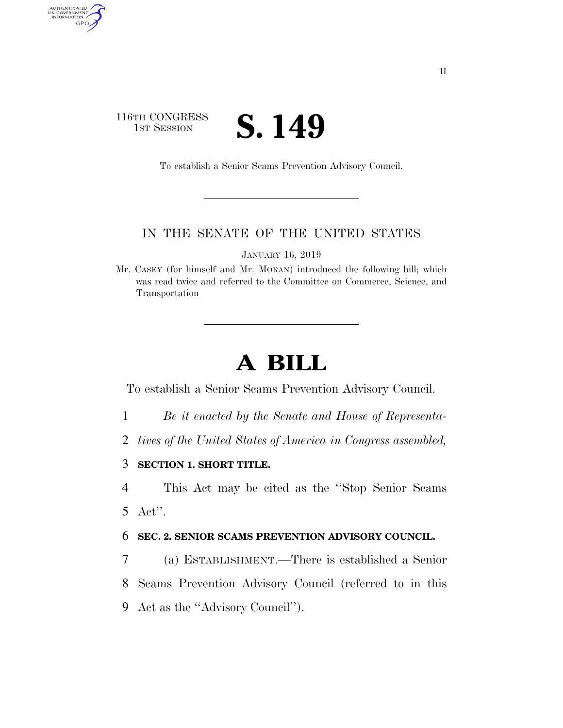## 116TH CONGRESS **IST SESSION S. 149**

AUTHENTICATED<br>U.S. GOVERNMENT<br>INFORMATION

GPO

To establish a Senior Scams Prevention Advisory Council.

## IN THE SENATE OF THE UNITED STATES

JANUARY 16, 2019

Mr. CASEY (for himself and Mr. MORAN) introduced the following bill; which was read twice and referred to the Committee on Commerce, Science, and Transportation

## **A BILL**

To establish a Senior Scams Prevention Advisory Council.

- 1 *Be it enacted by the Senate and House of Representa-*
- 2 *tives of the United States of America in Congress assembled,*

3 **SECTION 1. SHORT TITLE.** 

4 This Act may be cited as the ''Stop Senior Scams 5 Act''.

6 **SEC. 2. SENIOR SCAMS PREVENTION ADVISORY COUNCIL.** 

7 (a) ESTABLISHMENT.—There is established a Senior 8 Scams Prevention Advisory Council (referred to in this 9 Act as the ''Advisory Council'').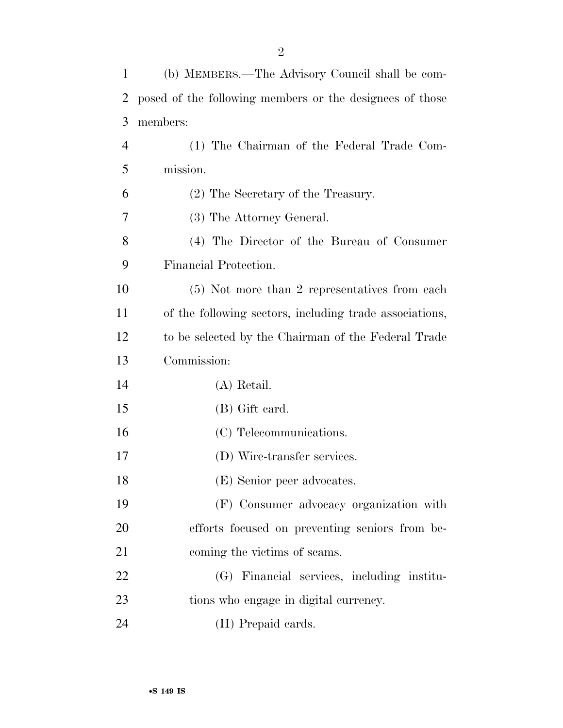| 1  | (b) MEMBERS.—The Advisory Council shall be com-          |
|----|----------------------------------------------------------|
| 2  | posed of the following members or the designees of those |
| 3  | members:                                                 |
| 4  | (1) The Chairman of the Federal Trade Com-               |
| 5  | mission.                                                 |
| 6  | (2) The Secretary of the Treasury.                       |
| 7  | (3) The Attorney General.                                |
| 8  | (4) The Director of the Bureau of Consumer               |
| 9  | Financial Protection.                                    |
| 10 | (5) Not more than 2 representatives from each            |
| 11 | of the following sectors, including trade associations,  |
| 12 | to be selected by the Chairman of the Federal Trade      |
| 13 | Commission:                                              |
| 14 | (A) Retail.                                              |
| 15 | (B) Gift card.                                           |
| 16 | (C) Telecommunications.                                  |
| 17 | (D) Wire-transfer services.                              |
| 18 | (E) Senior peer advocates.                               |
| 19 | (F) Consumer advocacy organization with                  |
| 20 | efforts focused on preventing seniors from be-           |
| 21 | coming the victims of scams.                             |
| 22 | (G) Financial services, including institu-               |
| 23 | tions who engage in digital currency.                    |
| 24 | (H) Prepaid cards.                                       |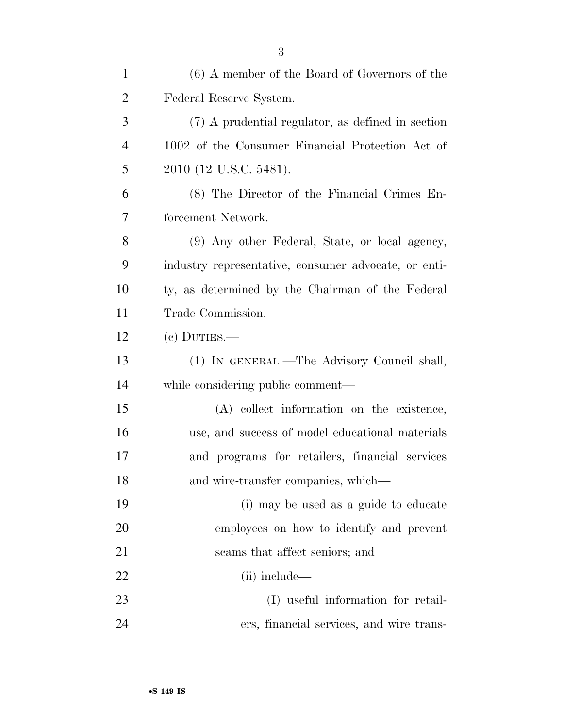| $\mathbf{1}$   | (6) A member of the Board of Governors of the        |
|----------------|------------------------------------------------------|
| $\overline{2}$ | Federal Reserve System.                              |
| 3              | (7) A prudential regulator, as defined in section    |
| $\overline{4}$ | 1002 of the Consumer Financial Protection Act of     |
| 5              | 2010 (12 U.S.C. 5481).                               |
| 6              | (8) The Director of the Financial Crimes En-         |
| 7              | forcement Network.                                   |
| 8              | (9) Any other Federal, State, or local agency,       |
| 9              | industry representative, consumer advocate, or enti- |
| 10             | ty, as determined by the Chairman of the Federal     |
| 11             | Trade Commission.                                    |
| 12             | $(e)$ DUTIES.—                                       |
| 13             | (1) IN GENERAL.—The Advisory Council shall,          |
| 14             | while considering public comment—                    |
| 15             | (A) collect information on the existence,            |
| 16             | use, and success of model educational materials      |
| 17             | and programs for retailers, financial services       |
| 18             | and wire-transfer companies, which—                  |
| 19             | (i) may be used as a guide to educate                |
| 20             | employees on how to identify and prevent             |
| 21             | scams that affect seniors; and                       |
| 22             | $(ii)$ include—                                      |
| 23             | (I) useful information for retail-                   |
| 24             | ers, financial services, and wire trans-             |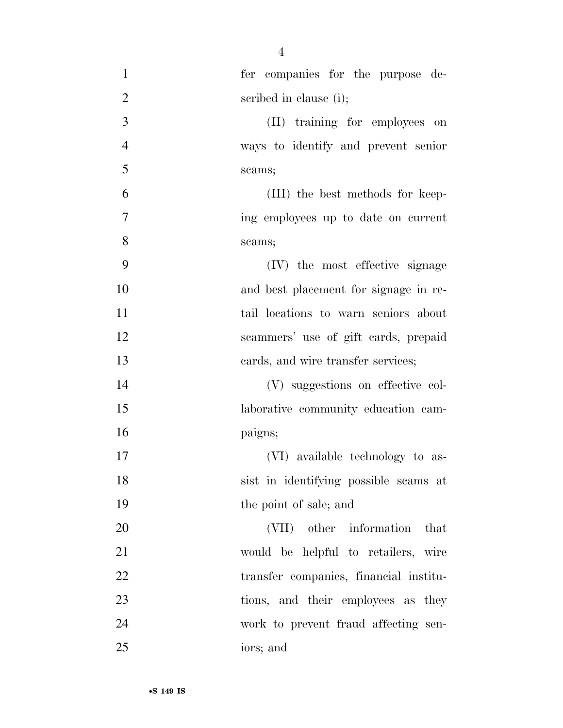| $\mathbf{1}$   | fer companies for the purpose de-      |
|----------------|----------------------------------------|
| $\overline{2}$ | scribed in clause (i);                 |
| $\mathfrak{Z}$ | (II) training for employees on         |
| $\overline{4}$ | ways to identify and prevent senior    |
| 5              | scams;                                 |
| 6              | (III) the best methods for keep-       |
| 7              | ing employees up to date on current    |
| 8              | scams;                                 |
| 9              | (IV) the most effective signage        |
| 10             | and best placement for signage in re-  |
| 11             | tail locations to warn seniors about   |
| 12             | scammers' use of gift cards, prepaid   |
| 13             | eards, and wire transfer services;     |
| 14             | (V) suggestions on effective col-      |
| 15             | laborative community education cam-    |
| 16             | paigns;                                |
| 17             | (VI) available technology to as-       |
| 18             | sist in identifying possible scams at  |
| 19             | the point of sale; and                 |
| 20             | (VII) other information that           |
| 21             | would be helpful to retailers, wire    |
| 22             | transfer companies, financial institu- |
| 23             | tions, and their employees as they     |
| 24             | work to prevent fraud affecting sen-   |
| 25             | iors; and                              |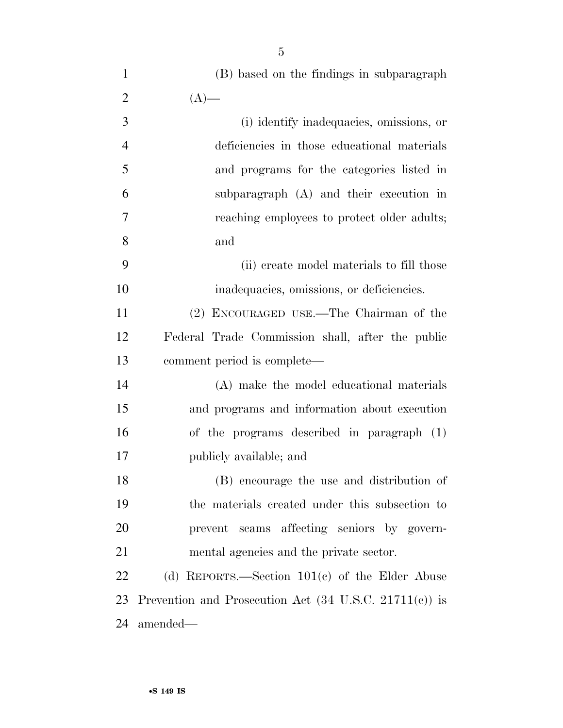| $\mathbf{1}$   | (B) based on the findings in subparagraph        |
|----------------|--------------------------------------------------|
| $\overline{2}$ | $(A)$ —                                          |
| 3              | (i) identify inadequacies, omissions, or         |
| $\overline{4}$ | deficiencies in those educational materials      |
| 5              | and programs for the categories listed in        |
| 6              | subparagraph (A) and their execution in          |
| $\overline{7}$ | reaching employees to protect older adults;      |
| 8              | and                                              |
| 9              | (ii) create model materials to fill those        |
| 10             | inadequacies, omissions, or deficiencies.        |
| 11             | (2) ENCOURAGED USE.—The Chairman of the          |
| 12             | Federal Trade Commission shall, after the public |
| 13             | comment period is complete—                      |
| 14             | (A) make the model educational materials         |
| 15             | and programs and information about execution     |
| 16             | of the programs described in paragraph (1)       |

 (B) encourage the use and distribution of the materials created under this subsection to prevent scams affecting seniors by govern- mental agencies and the private sector. (d) REPORTS.—Section 101(c) of the Elder Abuse

publicly available; and

 Prevention and Prosecution Act (34 U.S.C. 21711(c)) is amended—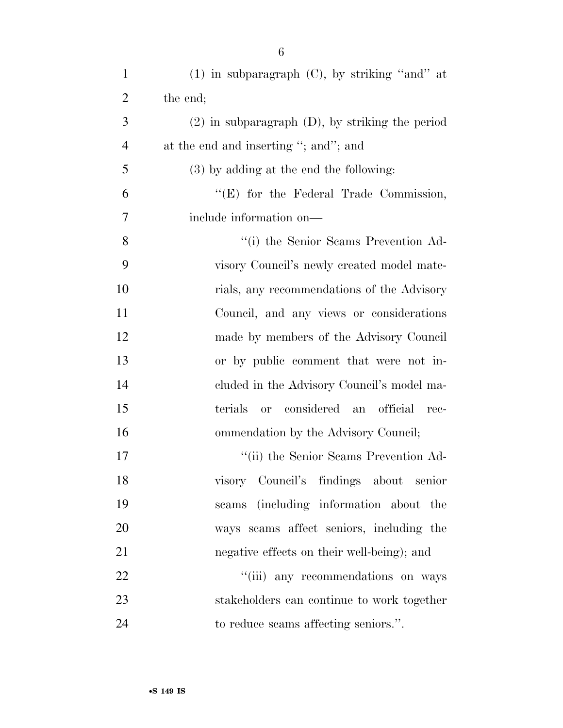| $\mathbf{1}$   | $(1)$ in subparagraph $(C)$ , by striking "and" at           |
|----------------|--------------------------------------------------------------|
| $\overline{2}$ | the end;                                                     |
| 3              | $(2)$ in subparagraph $(D)$ , by striking the period         |
| $\overline{4}$ | at the end and inserting "; and"; and                        |
| 5              | $(3)$ by adding at the end the following:                    |
| 6              | " $(E)$ for the Federal Trade Commission,                    |
| 7              | include information on—                                      |
| 8              | "(i) the Senior Seams Prevention Ad-                         |
| 9              | visory Council's newly created model mate-                   |
| 10             | rials, any recommendations of the Advisory                   |
| 11             | Council, and any views or considerations                     |
| 12             | made by members of the Advisory Council                      |
| 13             | or by public comment that were not in-                       |
| 14             | cluded in the Advisory Council's model ma-                   |
| 15             | considered<br>terials<br>official<br><b>or</b><br>an<br>rec- |
| 16             | ommendation by the Advisory Council;                         |
| 17             | "(ii) the Senior Scams Prevention Ad-                        |
| 18             | visory Council's findings about<br>senior                    |
| 19             | seams (including information about the                       |
| 20             | ways scams affect seniors, including the                     |
| 21             | negative effects on their well-being); and                   |
| 22             | "(iii) any recommendations on ways                           |
| 23             | stakeholders can continue to work together                   |
| 24             | to reduce scams affecting seniors.".                         |